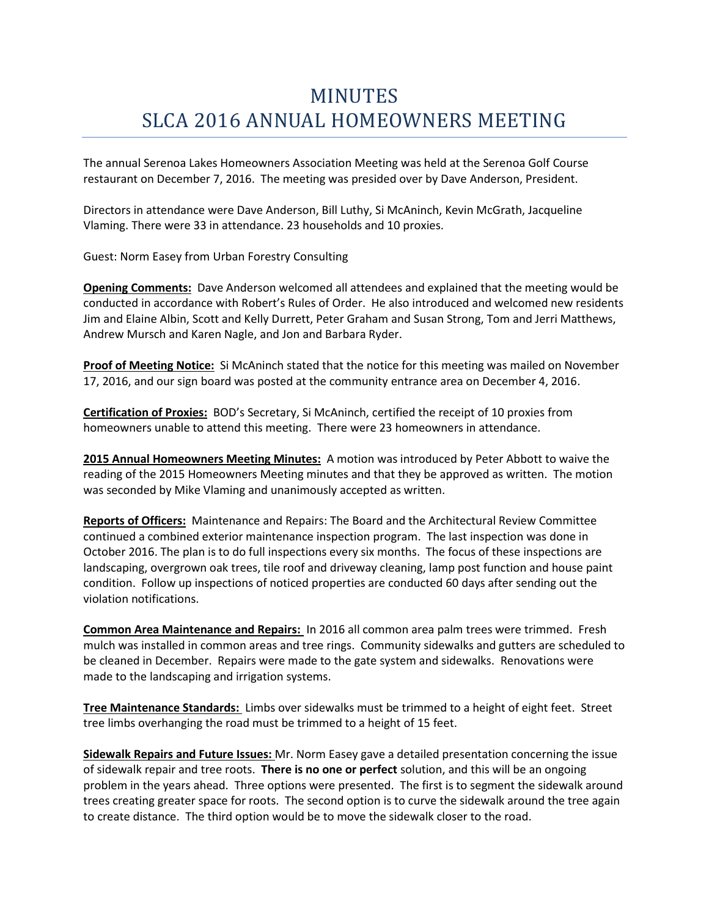## MINUTES SLCA 2016 ANNUAL HOMEOWNERS MEETING

The annual Serenoa Lakes Homeowners Association Meeting was held at the Serenoa Golf Course restaurant on December 7, 2016. The meeting was presided over by Dave Anderson, President.

Directors in attendance were Dave Anderson, Bill Luthy, Si McAninch, Kevin McGrath, Jacqueline Vlaming. There were 33 in attendance. 23 households and 10 proxies.

Guest: Norm Easey from Urban Forestry Consulting

**Opening Comments:** Dave Anderson welcomed all attendees and explained that the meeting would be conducted in accordance with Robert's Rules of Order. He also introduced and welcomed new residents Jim and Elaine Albin, Scott and Kelly Durrett, Peter Graham and Susan Strong, Tom and Jerri Matthews, Andrew Mursch and Karen Nagle, and Jon and Barbara Ryder.

**Proof of Meeting Notice:** Si McAninch stated that the notice for this meeting was mailed on November 17, 2016, and our sign board was posted at the community entrance area on December 4, 2016.

**Certification of Proxies:** BOD's Secretary, Si McAninch, certified the receipt of 10 proxies from homeowners unable to attend this meeting. There were 23 homeowners in attendance.

**2015 Annual Homeowners Meeting Minutes:** A motion was introduced by Peter Abbott to waive the reading of the 2015 Homeowners Meeting minutes and that they be approved as written. The motion was seconded by Mike Vlaming and unanimously accepted as written.

**Reports of Officers:** Maintenance and Repairs: The Board and the Architectural Review Committee continued a combined exterior maintenance inspection program. The last inspection was done in October 2016. The plan is to do full inspections every six months. The focus of these inspections are landscaping, overgrown oak trees, tile roof and driveway cleaning, lamp post function and house paint condition. Follow up inspections of noticed properties are conducted 60 days after sending out the violation notifications.

**Common Area Maintenance and Repairs:** In 2016 all common area palm trees were trimmed. Fresh mulch was installed in common areas and tree rings. Community sidewalks and gutters are scheduled to be cleaned in December. Repairs were made to the gate system and sidewalks. Renovations were made to the landscaping and irrigation systems.

**Tree Maintenance Standards:** Limbs over sidewalks must be trimmed to a height of eight feet. Street tree limbs overhanging the road must be trimmed to a height of 15 feet.

**Sidewalk Repairs and Future Issues:** Mr. Norm Easey gave a detailed presentation concerning the issue of sidewalk repair and tree roots. **There is no one or perfect** solution, and this will be an ongoing problem in the years ahead. Three options were presented. The first is to segment the sidewalk around trees creating greater space for roots. The second option is to curve the sidewalk around the tree again to create distance. The third option would be to move the sidewalk closer to the road.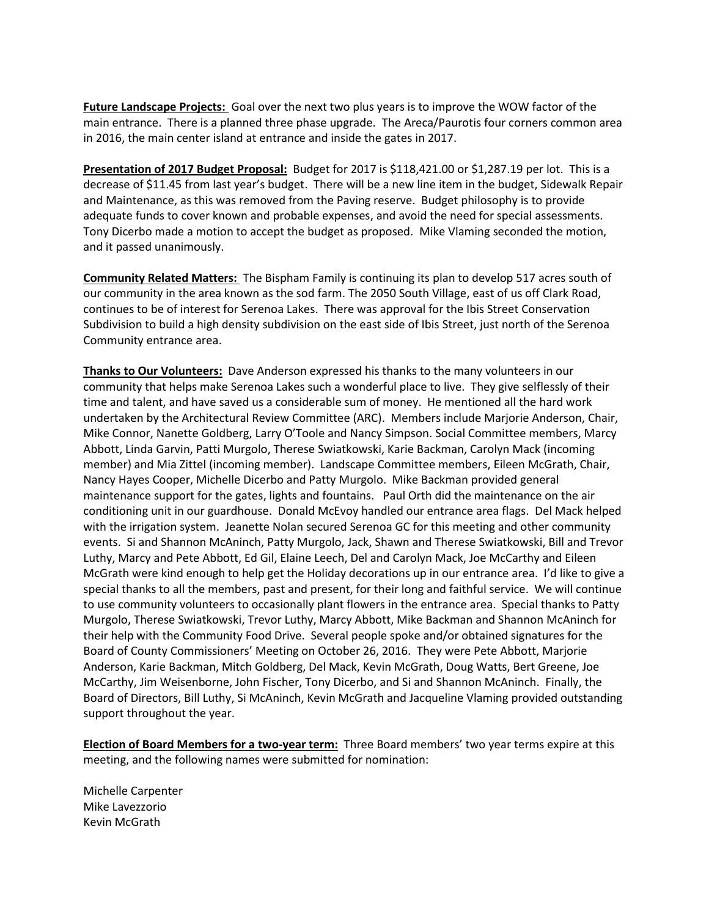**Future Landscape Projects:** Goal over the next two plus years is to improve the WOW factor of the main entrance. There is a planned three phase upgrade. The Areca/Paurotis four corners common area in 2016, the main center island at entrance and inside the gates in 2017.

**Presentation of 2017 Budget Proposal:** Budget for 2017 is \$118,421.00 or \$1,287.19 per lot. This is a decrease of \$11.45 from last year's budget. There will be a new line item in the budget, Sidewalk Repair and Maintenance, as this was removed from the Paving reserve. Budget philosophy is to provide adequate funds to cover known and probable expenses, and avoid the need for special assessments. Tony Dicerbo made a motion to accept the budget as proposed. Mike Vlaming seconded the motion, and it passed unanimously.

**Community Related Matters:** The Bispham Family is continuing its plan to develop 517 acres south of our community in the area known as the sod farm. The 2050 South Village, east of us off Clark Road, continues to be of interest for Serenoa Lakes. There was approval for the Ibis Street Conservation Subdivision to build a high density subdivision on the east side of Ibis Street, just north of the Serenoa Community entrance area.

**Thanks to Our Volunteers:** Dave Anderson expressed his thanks to the many volunteers in our community that helps make Serenoa Lakes such a wonderful place to live. They give selflessly of their time and talent, and have saved us a considerable sum of money. He mentioned all the hard work undertaken by the Architectural Review Committee (ARC). Members include Marjorie Anderson, Chair, Mike Connor, Nanette Goldberg, Larry O'Toole and Nancy Simpson. Social Committee members, Marcy Abbott, Linda Garvin, Patti Murgolo, Therese Swiatkowski, Karie Backman, Carolyn Mack (incoming member) and Mia Zittel (incoming member). Landscape Committee members, Eileen McGrath, Chair, Nancy Hayes Cooper, Michelle Dicerbo and Patty Murgolo. Mike Backman provided general maintenance support for the gates, lights and fountains. Paul Orth did the maintenance on the air conditioning unit in our guardhouse. Donald McEvoy handled our entrance area flags. Del Mack helped with the irrigation system. Jeanette Nolan secured Serenoa GC for this meeting and other community events. Si and Shannon McAninch, Patty Murgolo, Jack, Shawn and Therese Swiatkowski, Bill and Trevor Luthy, Marcy and Pete Abbott, Ed Gil, Elaine Leech, Del and Carolyn Mack, Joe McCarthy and Eileen McGrath were kind enough to help get the Holiday decorations up in our entrance area. I'd like to give a special thanks to all the members, past and present, for their long and faithful service. We will continue to use community volunteers to occasionally plant flowers in the entrance area. Special thanks to Patty Murgolo, Therese Swiatkowski, Trevor Luthy, Marcy Abbott, Mike Backman and Shannon McAninch for their help with the Community Food Drive. Several people spoke and/or obtained signatures for the Board of County Commissioners' Meeting on October 26, 2016. They were Pete Abbott, Marjorie Anderson, Karie Backman, Mitch Goldberg, Del Mack, Kevin McGrath, Doug Watts, Bert Greene, Joe McCarthy, Jim Weisenborne, John Fischer, Tony Dicerbo, and Si and Shannon McAninch. Finally, the Board of Directors, Bill Luthy, Si McAninch, Kevin McGrath and Jacqueline Vlaming provided outstanding support throughout the year.

**Election of Board Members for a two-year term:** Three Board members' two year terms expire at this meeting, and the following names were submitted for nomination:

Michelle Carpenter Mike Lavezzorio Kevin McGrath